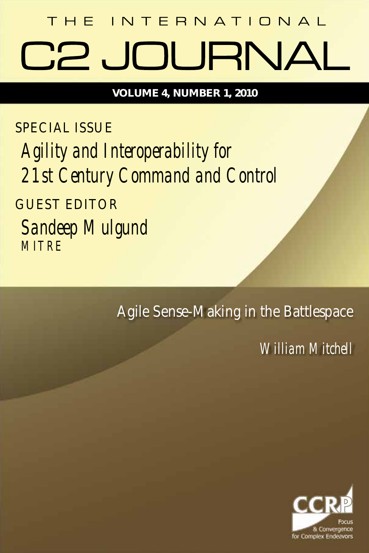# THE INTERNATIONAL **AVRIUDU SC**

**VOLUME 4, NUMBER 1, 2010**

SPECIAL ISSUE

*Agility and Interoperability for 21st Century Command and Control*

GUEST EDITOR

*Sandeep Mulgund MITRE*

Agile Sense-Making in the Battlespace

*William Mitchell*

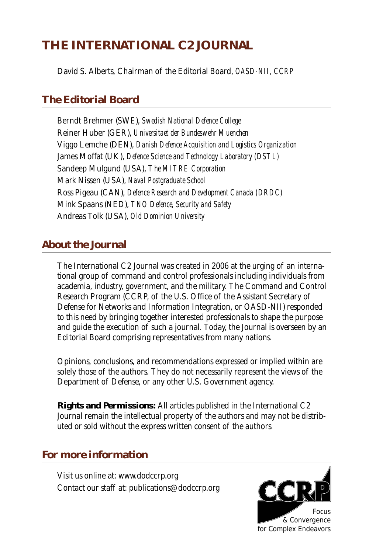#### **THE INTERNATIONAL C2 JOURNAL**

David S. Alberts, Chairman of the Editorial Board, *OASD-NII, CCRP*

#### **The Editorial Board**

Berndt Brehmer (SWE), *Swedish National Defence College* Reiner Huber (GER), *Universitaet der Bundeswehr Muenchen* Viggo Lemche (DEN), *Danish Defence Acquisition and Logistics Organization* James Moffat (UK), *Defence Science and Technology Laboratory (DSTL)* Sandeep Mulgund (USA), *The MITRE Corporation* Mark Nissen (USA), *Naval Postgraduate School* Ross Pigeau (CAN), *Defence Research and Development Canada (DRDC)* Mink Spaans (NED), *TNO Defence, Security and Safety* Andreas Tolk (USA), *Old Dominion University*

#### **About the Journal**

The International C2 Journal was created in 2006 at the urging of an international group of command and control professionals including individuals from academia, industry, government, and the military. The Command and Control Research Program (CCRP, of the U.S. Office of the Assistant Secretary of Defense for Networks and Information Integration, or OASD-NII) responded to this need by bringing together interested professionals to shape the purpose and guide the execution of such a journal. Today, the Journal is overseen by an Editorial Board comprising representatives from many nations.

Opinions, conclusions, and recommendations expressed or implied within are solely those of the authors. They do not necessarily represent the views of the Department of Defense, or any other U.S. Government agency.

**Rights and Permissions:** All articles published in the International C2 Journal remain the intellectual property of the authors and may not be distributed or sold without the express written consent of the authors.

#### **For more information**

Visit us online at: www.dodccrp.org Contact our staff at: publications@dodccrp.org

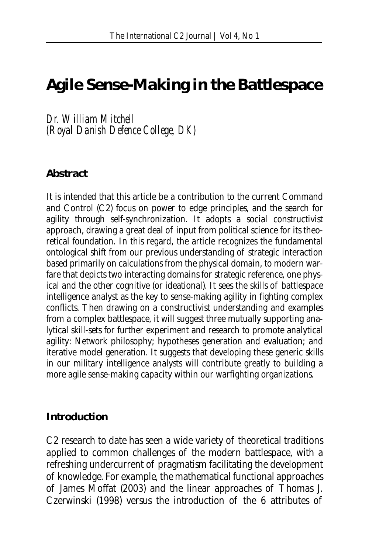### **Agile Sense-Making in the Battlespace**

*Dr. William Mitchell (Royal Danish Defence College, DK)*

#### **Abstract**

It is intended that this article be a contribution to the current Command and Control (C2) focus on power to edge principles, and the search for agility through self-synchronization. It adopts a social constructivist approach, drawing a great deal of input from political science for its theoretical foundation. In this regard, the article recognizes the fundamental ontological shift from our previous understanding of strategic interaction based primarily on calculations from the physical domain, to modern warfare that depicts two interacting domains for strategic reference, one physical and the other cognitive (or ideational). It sees the skills of battlespace intelligence analyst as the key to sense-making agility in fighting complex conflicts. Then drawing on a constructivist understanding and examples from a complex battlespace, it will suggest three mutually supporting analytical skill-sets for further experiment and research to promote analytical agility: Network philosophy; hypotheses generation and evaluation; and iterative model generation. It suggests that developing these generic skills in our military intelligence analysts will contribute greatly to building a more agile sense-making capacity within our warfighting organizations.

#### **Introduction**

C2 research to date has seen a wide variety of theoretical traditions applied to common challenges of the modern battlespace, with a refreshing undercurrent of pragmatism facilitating the development of knowledge. For example, the mathematical functional approaches of James Moffat (2003) and the linear approaches of Thomas J. Czerwinski (1998) versus the introduction of the 6 attributes of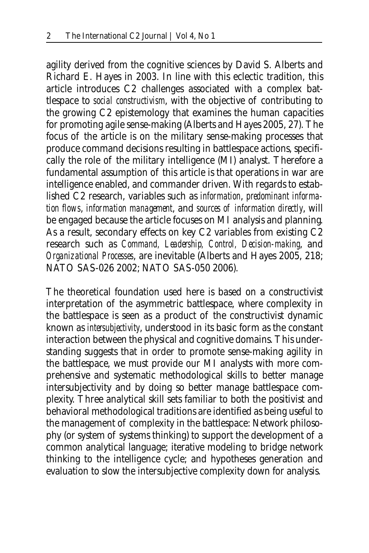agility derived from the cognitive sciences by David S. Alberts and Richard E. Hayes in 2003. In line with this eclectic tradition, this article introduces C2 challenges associated with a complex battlespace to *social constructivism*, with the objective of contributing to the growing C2 epistemology that examines the human capacities for promoting agile sense-making (Alberts and Hayes 2005, 27). The focus of the article is on the military sense-making processes that produce command decisions resulting in battlespace actions, specifically the role of the military intelligence (MI) analyst. Therefore a fundamental assumption of this article is that operations in war are intelligence enabled, and commander driven. With regards to established C2 research, variables such as *information*, *predominant information flows*, *information management*, and *sources of information directly*, will be engaged because the article focuses on MI analysis and planning. As a result, secondary effects on key C2 variables from existing C2 research such as *Command, Leadership, Control, Decision-making*, and *Organizational Processes*, are inevitable (Alberts and Hayes 2005, 218; NATO SAS-026 2002; NATO SAS-050 2006).

The theoretical foundation used here is based on a constructivist interpretation of the asymmetric battlespace, where complexity in the battlespace is seen as a product of the constructivist dynamic known as *intersubjectivity*, understood in its basic form as the constant interaction between the physical and cognitive domains. This understanding suggests that in order to promote sense-making agility in the battlespace, we must provide our MI analysts with more comprehensive and systematic methodological skills to better manage intersubjectivity and by doing so better manage battlespace complexity. Three analytical skill sets familiar to both the positivist and behavioral methodological traditions are identified as being useful to the management of complexity in the battlespace: Network philosophy (or system of systems thinking) to support the development of a common analytical language; iterative modeling to bridge network thinking to the intelligence cycle; and hypotheses generation and evaluation to slow the intersubjective complexity down for analysis.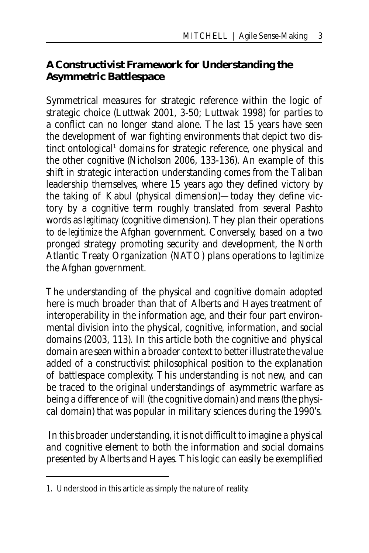#### **A Constructivist Framework for Understanding the Asymmetric Battlespace**

Symmetrical measures for strategic reference within the logic of strategic choice (Luttwak 2001, 3-50; Luttwak 1998) for parties to a conflict can no longer stand alone. The last 15 years have seen the development of war fighting environments that depict two distinct ontological<sup>1</sup> domains for strategic reference, one physical and the other cognitive (Nicholson 2006, 133-136). An example of this shift in strategic interaction understanding comes from the Taliban leadership themselves, where 15 years ago they defined victory by the taking of Kabul (physical dimension)—today they define victory by a cognitive term roughly translated from several Pashto words as *legitimacy* (cognitive dimension). They plan their operations to *de-legitimize* the Afghan government. Conversely, based on a two pronged strategy promoting security and development, the North Atlantic Treaty Organization (NATO) plans operations to *legitimize* the Afghan government.

The understanding of the physical and cognitive domain adopted here is much broader than that of Alberts and Hayes treatment of interoperability in the information age, and their four part environmental division into the physical, cognitive, information, and social domains (2003, 113). In this article both the cognitive and physical domain are seen within a broader context to better illustrate the value added of a constructivist philosophical position to the explanation of battlespace complexity. This understanding is not new, and can be traced to the original understandings of asymmetric warfare as being a difference of *will* (the cognitive domain) and *means* (the physical domain) that was popular in military sciences during the 1990's.

 In this broader understanding, it is not difficult to imagine a physical and cognitive element to both the information and social domains presented by Alberts and Hayes. This logic can easily be exemplified

<sup>1.</sup> Understood in this article as simply the nature of reality.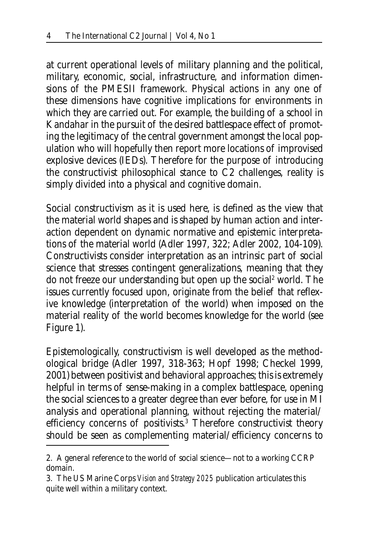at current operational levels of military planning and the political, military, economic, social, infrastructure, and information dimensions of the PMESII framework. Physical actions in any one of these dimensions have cognitive implications for environments in which they are carried out. For example, the building of a school in Kandahar in the pursuit of the desired battlespace effect of promoting the legitimacy of the central government amongst the local population who will hopefully then report more locations of improvised explosive devices (IEDs). Therefore for the purpose of introducing the constructivist philosophical stance to C2 challenges, reality is simply divided into a physical and cognitive domain.

Social constructivism as it is used here, is defined as the view that the material world shapes and is shaped by human action and interaction dependent on dynamic normative and epistemic interpretations of the material world (Adler 1997, 322; Adler 2002, 104-109). Constructivists consider interpretation as an intrinsic part of social science that stresses contingent generalizations, meaning that they do not freeze our understanding but open up the social<sup>2</sup> world. The issues currently focused upon, originate from the belief that reflexive knowledge (interpretation of the world) when imposed on the material reality of the world becomes knowledge for the world (see Figure 1).

Epistemologically, constructivism is well developed as the methodological bridge (Adler 1997, 318-363; Hopf 1998; Checkel 1999, 2001) between positivist and behavioral approaches; this is extremely helpful in terms of sense-making in a complex battlespace, opening the social sciences to a greater degree than ever before, for use in MI analysis and operational planning, without rejecting the material/ efficiency concerns of positivists.<sup>3</sup> Therefore constructivist theory should be seen as complementing material/efficiency concerns to

<sup>2.</sup> A general reference to the world of social science—not to a working CCRP domain.

<sup>3.</sup> The US Marine Corps *Vision and Strategy 2025* publication articulates this quite well within a military context.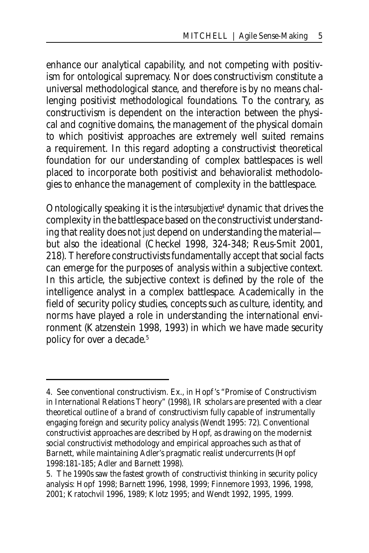enhance our analytical capability, and not competing with positivism for ontological supremacy. Nor does constructivism constitute a universal methodological stance, and therefore is by no means challenging positivist methodological foundations. To the contrary, as constructivism is dependent on the interaction between the physical and cognitive domains, the management of the physical domain to which positivist approaches are extremely well suited remains a requirement. In this regard adopting a constructivist theoretical foundation for our understanding of complex battlespaces is well placed to incorporate both positivist and behavioralist methodologies to enhance the management of complexity in the battlespace.

Ontologically speaking it is the *intersubjective*<sup>4</sup> dynamic that drives the complexity in the battlespace based on the constructivist understanding that reality does not *just* depend on understanding the material but also the ideational (Checkel 1998, 324-348; Reus-Smit 2001, 218). Therefore constructivists fundamentally accept that social facts can emerge for the purposes of analysis within a subjective context. In this article, the subjective context is defined by the role of the intelligence analyst in a complex battlespace. Academically in the field of security policy studies, concepts such as culture, identity, and norms have played a role in understanding the international environment (Katzenstein 1998, 1993) in which we have made security policy for over a decade.5

<sup>4.</sup> See conventional constructivism. Ex., in Hopf 's "Promise of Constructivism in International Relations Theory" (1998), IR scholars are presented with a clear theoretical outline of a brand of constructivism fully capable of instrumentally engaging foreign and security policy analysis (Wendt 1995: 72). Conventional constructivist approaches are described by Hopf, as drawing on the modernist social constructivist methodology and empirical approaches such as that of Barnett, while maintaining Adler's pragmatic realist undercurrents (Hopf 1998:181-185; Adler and Barnett 1998).

<sup>5.</sup> The 1990s saw the fastest growth of constructivist thinking in security policy analysis: Hopf 1998; Barnett 1996, 1998, 1999; Finnemore 1993, 1996, 1998, 2001; Kratochvil 1996, 1989; Klotz 1995; and Wendt 1992, 1995, 1999.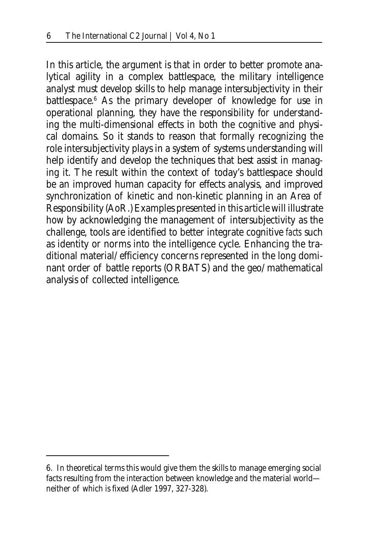In this article, the argument is that in order to better promote analytical agility in a complex battlespace, the military intelligence analyst must develop skills to help manage intersubjectivity in their battlespace.6 As the primary developer of knowledge for use in operational planning, they have the responsibility for understanding the multi-dimensional effects in both the cognitive and physical domains. So it stands to reason that formally recognizing the role intersubjectivity plays in a system of systems understanding will help identify and develop the techniques that best assist in managing it. The result within the context of today's battlespace should be an improved human capacity for effects analysis, and improved synchronization of kinetic and non-kinetic planning in an Area of Responsibility (AoR.) Examples presented in this article will illustrate how by acknowledging the management of intersubjectivity as the challenge, tools are identified to better integrate cognitive *facts* such as identity or norms into the intelligence cycle. Enhancing the traditional material/efficiency concerns represented in the long dominant order of battle reports (ORBATS) and the geo/mathematical analysis of collected intelligence.

<sup>6.</sup> In theoretical terms this would give them the skills to manage emerging social facts resulting from the interaction between knowledge and the material world neither of which is fixed (Adler 1997, 327-328).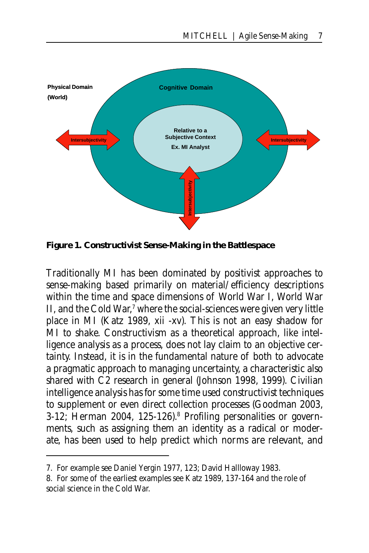

**Figure 1. Constructivist Sense-Making in the Battlespace** 

Traditionally MI has been dominated by positivist approaches to sense-making based primarily on material/efficiency descriptions within the time and space dimensions of World War I, World War II, and the Cold War,<sup>7</sup> where the social-sciences were given very little place in MI (Katz 1989, xii -xv). This is not an easy shadow for MI to shake. Constructivism as a theoretical approach, like intelligence analysis as a process, does not lay claim to an objective certainty. Instead, it is in the fundamental nature of both to advocate a pragmatic approach to managing uncertainty, a characteristic also shared with C2 research in general (Johnson 1998, 1999). Civilian intelligence analysis has for some time used constructivist techniques to supplement or even direct collection processes (Goodman 2003, 3-12; Herman 2004, 125-126).<sup>8</sup> Profiling personalities or governments, such as assigning them an identity as a radical or moderate, has been used to help predict which norms are relevant, and

<sup>7.</sup> For example see Daniel Yergin 1977, 123; David Hallloway 1983.

<sup>8.</sup> For some of the earliest examples see Katz 1989, 137-164 and the role of social science in the Cold War.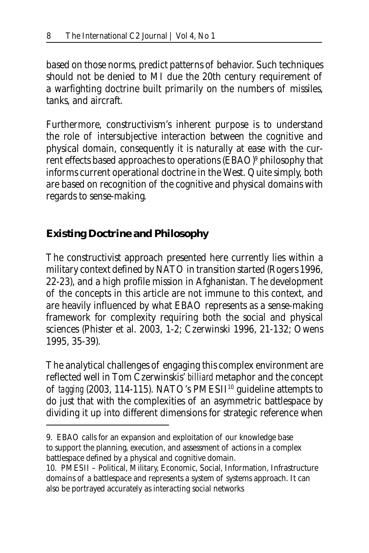based on those norms, predict patterns of behavior. Such techniques should not be denied to MI due the 20th century requirement of a warfighting doctrine built primarily on the numbers of missiles, tanks, and aircraft.

Furthermore, constructivism's inherent purpose is to understand the role of intersubjective interaction between the cognitive and physical domain, consequently it is naturally at ease with the current effects based approaches to operations (EBAO)9 philosophy that informs current operational doctrine in the West. Quite simply, both are based on recognition of the cognitive and physical domains with regards to sense-making.

#### **Existing Doctrine and Philosophy**

The constructivist approach presented here currently lies within a military context defined by NATO in transition started (Rogers 1996, 22-23), and a high profile mission in Afghanistan. The development of the concepts in this article are not immune to this context, and are heavily influenced by what EBAO represents as a sense-making framework for complexity requiring both the social and physical sciences (Phister et al. 2003, 1-2; Czerwinski 1996, 21-132; Owens 1995, 35-39).

The analytical challenges of engaging this complex environment are reflected well in Tom Czerwinskis' *billiard* metaphor and the concept of *tagging* (2003, 114-115). NATO's PMESII10 guideline attempts to do just that with the complexities of an asymmetric battlespace by dividing it up into different dimensions for strategic reference when

<sup>9.</sup> EBAO calls for an expansion and exploitation of our knowledge base to support the planning, execution, and assessment of actions in a complex battlespace defined by a physical and cognitive domain.

<sup>10.</sup> PMESII – Political, Military, Economic, Social, Information, Infrastructure domains of a battlespace and represents a system of systems approach. It can also be portrayed accurately as interacting social networks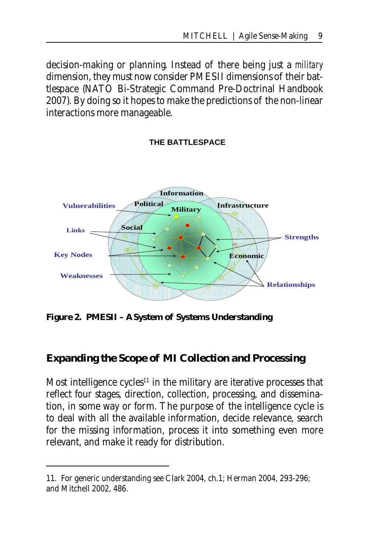decision-making or planning. Instead of there being just a *military* dimension, they must now consider PMESII dimensions of their battlespace (NATO Bi-Strategic Command Pre-Doctrinal Handbook 2007). By doing so it hopes to make the predictions of the non-linear interactions more manageable.

## **THE BATTLESPACE**



**Figure 2. PMESII – A System of Systems Understanding**

#### **Expanding the Scope of MI Collection and Processing**

Most intelligence cycles<sup>11</sup> in the military are iterative processes that reflect four stages, direction, collection, processing, and dissemination, in some way or form. The purpose of the intelligence cycle is to deal with all the available information, decide relevance, search for the missing information, process it into something even more relevant, and make it ready for distribution.

<sup>11.</sup> For generic understanding see Clark 2004, ch.1; Herman 2004, 293-296; and Mitchell 2002, 486.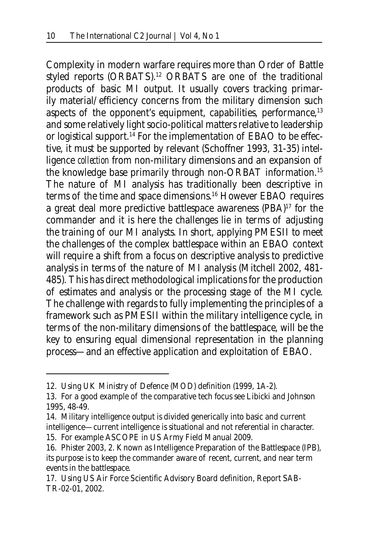Complexity in modern warfare requires more than Order of Battle styled reports (ORBATS).12 ORBATS are one of the traditional products of basic MI output. It usually covers tracking primarily material/efficiency concerns from the military dimension such aspects of the opponent's equipment, capabilities, performance,  $13$ and some relatively light socio-political matters relative to leadership or logistical support.<sup>14</sup> For the implementation of EBAO to be effective, it must be supported by relevant (Schoffner 1993, 31-35) intelligence *collection* from non-military dimensions and an expansion of the knowledge base primarily through non-ORBAT information.<sup>15</sup> The nature of MI analysis has traditionally been descriptive in terms of the time and space dimensions.16 However EBAO requires a great deal more predictive battlespace awareness (PBA)17 for the commander and it is here the challenges lie in terms of adjusting the training of our MI analysts. In short, applying PMESII to meet the challenges of the complex battlespace within an EBAO context will require a shift from a focus on descriptive analysis to predictive analysis in terms of the nature of MI analysis (Mitchell 2002, 481- 485). This has direct methodological implications for the production of estimates and analysis or the processing stage of the MI cycle. The challenge with regards to fully implementing the principles of a framework such as PMESII within the military intelligence cycle, in terms of the non-military dimensions of the battlespace, will be the key to ensuring equal dimensional representation in the planning process—and an effective application and exploitation of EBAO.

<sup>12.</sup> Using UK Ministry of Defence (MOD) definition (1999, 1A-2).

<sup>13.</sup> For a good example of the comparative tech focus see Libicki and Johnson 1995, 48-49.

<sup>14.</sup> Military intelligence output is divided generically into basic and current intelligence—current intelligence is situational and not referential in character. 15. For example ASCOPE in US Army Field Manual 2009.

<sup>16.</sup> Phister 2003, 2. Known as Intelligence Preparation of the Battlespace (IPB), its purpose is to keep the commander aware of recent, current, and near term events in the battlespace.

<sup>17.</sup> Using US Air Force Scientific Advisory Board definition, Report SAB-TR-02-01, 2002.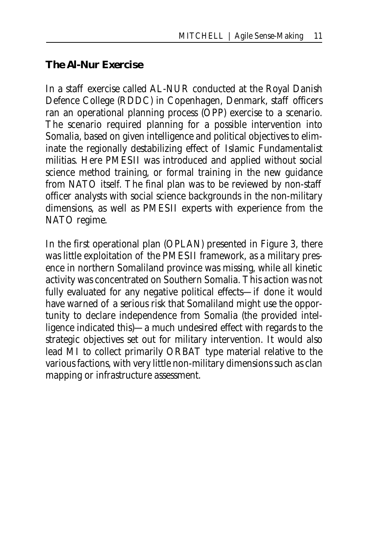#### **The Al-Nur Exercise**

In a staff exercise called AL-NUR conducted at the Royal Danish Defence College (RDDC) in Copenhagen, Denmark, staff officers ran an operational planning process (OPP) exercise to a scenario. The scenario required planning for a possible intervention into Somalia, based on given intelligence and political objectives to eliminate the regionally destabilizing effect of Islamic Fundamentalist militias. Here PMESII was introduced and applied without social science method training, or formal training in the new guidance from NATO itself. The final plan was to be reviewed by non-staff officer analysts with social science backgrounds in the non-military dimensions, as well as PMESII experts with experience from the NATO regime.

In the first operational plan (OPLAN) presented in Figure 3, there was little exploitation of the PMESII framework, as a military presence in northern Somaliland province was missing, while all kinetic activity was concentrated on Southern Somalia. This action was not fully evaluated for any negative political effects—if done it would have warned of a serious risk that Somaliland might use the opportunity to declare independence from Somalia (the provided intelligence indicated this)—a much undesired effect with regards to the strategic objectives set out for military intervention. It would also lead MI to collect primarily ORBAT type material relative to the various factions, with very little non-military dimensions such as clan mapping or infrastructure assessment.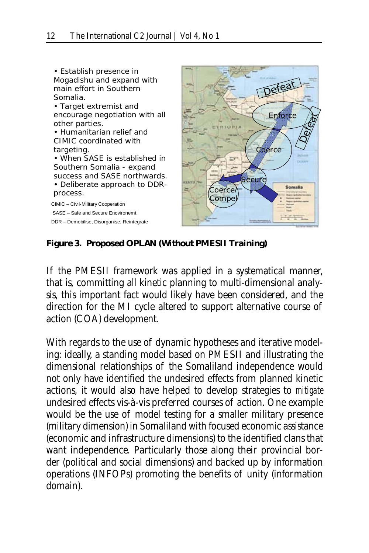

**Figure 3. Proposed OPLAN (Without PMESII Training)**

If the PMESII framework was applied in a systematical manner, that is, committing all kinetic planning to multi-dimensional analysis, this important fact would likely have been considered, and the direction for the MI cycle altered to support alternative course of action (COA) development.

With regards to the use of dynamic hypotheses and iterative modeling: ideally, a standing model based on PMESII and illustrating the dimensional relationships of the Somaliland independence would not only have identified the undesired effects from planned kinetic actions, it would also have helped to develop strategies to *mitigate* undesired effects vis-à-vis preferred courses of action. One example would be the use of model testing for a smaller military presence (military dimension) in Somaliland with focused economic assistance (economic and infrastructure dimensions) to the identified clans that want independence. Particularly those along their provincial border (political and social dimensions) and backed up by information operations (INFOPs) promoting the benefits of unity (information domain).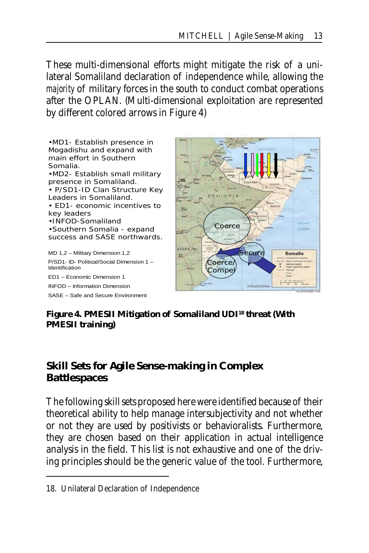These multi-dimensional efforts might mitigate the risk of a unilateral Somaliland declaration of independence while, allowing the *majority* of military forces in the south to conduct combat operations after the OPLAN. (Multi-dimensional exploitation are represented by different colored arrows in Figure 4)



#### **Figure 4. PMESII Mitigation of Somaliland UDI18 threat (With PMESII training)**

#### **Skill Sets for Agile Sense-making in Complex Battlespaces**

The following skill sets proposed here were identified because of their theoretical ability to help manage intersubjectivity and not whether or not they are used by positivists or behavioralists. Furthermore, they are chosen based on their application in actual intelligence analysis in the field. This list is not exhaustive and one of the driving principles should be the generic value of the tool. Furthermore,

<sup>18.</sup> Unilateral Declaration of Independence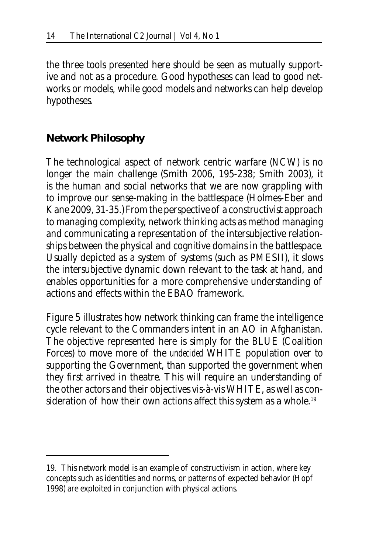the three tools presented here should be seen as mutually supportive and not as a procedure. Good hypotheses can lead to good networks or models, while good models and networks can help develop hypotheses.

#### **Network Philosophy**

The technological aspect of network centric warfare (NCW) is no longer the main challenge (Smith 2006, 195-238; Smith 2003), it is the human and social networks that we are now grappling with to improve our sense-making in the battlespace (Holmes-Eber and Kane 2009, 31-35.) From the perspective of a constructivist approach to managing complexity, network thinking acts as method managing and communicating a representation of the intersubjective relationships between the physical and cognitive domains in the battlespace. Usually depicted as a system of systems (such as PMESII), it slows the intersubjective dynamic down relevant to the task at hand, and enables opportunities for a more comprehensive understanding of actions and effects within the EBAO framework.

Figure 5 illustrates how network thinking can frame the intelligence cycle relevant to the Commanders intent in an AO in Afghanistan. The objective represented here is simply for the BLUE (Coalition Forces) to move more of the *undecided* WHITE population over to supporting the Government, than supported the government when they first arrived in theatre. This will require an understanding of the other actors and their objectives vis-à-vis WHITE, as well as consideration of how their own actions affect this system as a whole.<sup>19</sup>

<sup>19.</sup> This network model is an example of constructivism in action, where key concepts such as identities and norms, or patterns of expected behavior (Hopf 1998) are exploited in conjunction with physical actions.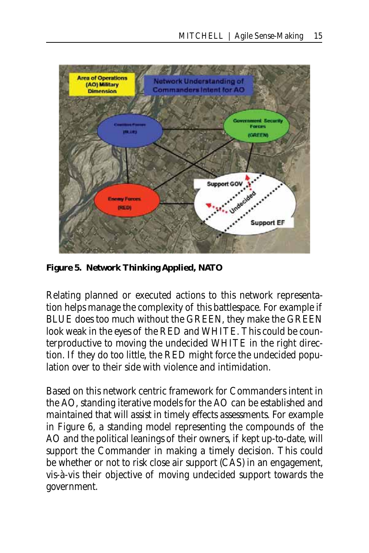

**Figure 5. Network Thinking Applied, NATO**

Relating planned or executed actions to this network representation helps manage the complexity of this battlespace. For example if BLUE does too much without the GREEN, they make the GREEN look weak in the eyes of the RED and WHITE. This could be counterproductive to moving the undecided WHITE in the right direction. If they do too little, the RED might force the undecided population over to their side with violence and intimidation.

Based on this network centric framework for Commanders intent in the AO, standing iterative models for the AO can be established and maintained that will assist in timely effects assessments. For example in Figure 6, a standing model representing the compounds of the AO and the political leanings of their owners, if kept up-to-date, will support the Commander in making a timely decision. This could be whether or not to risk close air support (CAS) in an engagement, vis-à-vis their objective of moving undecided support towards the government.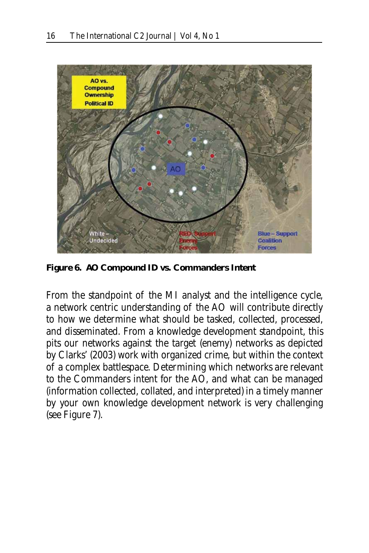

**Figure 6. AO Compound ID vs. Commanders Intent**

From the standpoint of the MI analyst and the intelligence cycle, a network centric understanding of the AO will contribute directly to how we determine what should be tasked, collected, processed, and disseminated. From a knowledge development standpoint, this pits our networks against the target (enemy) networks as depicted by Clarks' (2003) work with organized crime, but within the context of a complex battlespace. Determining which networks are relevant to the Commanders intent for the AO, and what can be managed (information collected, collated, and interpreted) in a timely manner by your own knowledge development network is very challenging (see Figure 7).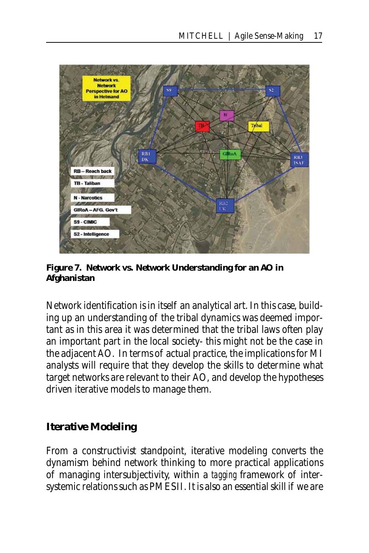

**Figure 7.** *Network vs. Network* **Understanding for an AO in Afghanistan**

Network identification is in itself an analytical art. In this case, building up an understanding of the tribal dynamics was deemed important as in this area it was determined that the tribal laws often play an important part in the local society- this might not be the case in the adjacent AO. In terms of actual practice, the implications for MI analysts will require that they develop the skills to determine what target networks are relevant to their AO, and develop the hypotheses driven iterative models to manage them.

#### **Iterative Modeling**

From a constructivist standpoint, iterative modeling converts the dynamism behind network thinking to more practical applications of managing intersubjectivity, within a *tagging* framework of intersystemic relations such as PMESII. It is also an essential skill if we are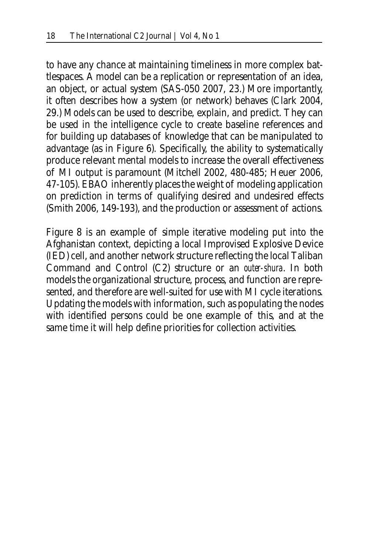to have any chance at maintaining timeliness in more complex battlespaces. A model can be a replication or representation of an idea, an object, or actual system (SAS-050 2007, 23.) More importantly, it often describes how a system (or network) behaves (Clark 2004, 29.) Models can be used to describe, explain, and predict. They can be used in the intelligence cycle to create baseline references and for building up databases of knowledge that can be manipulated to advantage (as in Figure 6). Specifically, the ability to systematically produce relevant mental models to increase the overall effectiveness of MI output is paramount (Mitchell 2002, 480-485; Heuer 2006, 47-105). EBAO inherently places the weight of modeling application on prediction in terms of qualifying desired and undesired effects (Smith 2006, 149-193), and the production or assessment of actions.

Figure 8 is an example of simple iterative modeling put into the Afghanistan context, depicting a local Improvised Explosive Device (IED) cell, and another network structure reflecting the local Taliban Command and Control (C2) structure or an *outer-shura*. In both models the organizational structure, process, and function are represented, and therefore are well-suited for use with MI cycle iterations. Updating the models with information, such as populating the nodes with identified persons could be one example of this, and at the same time it will help define priorities for collection activities.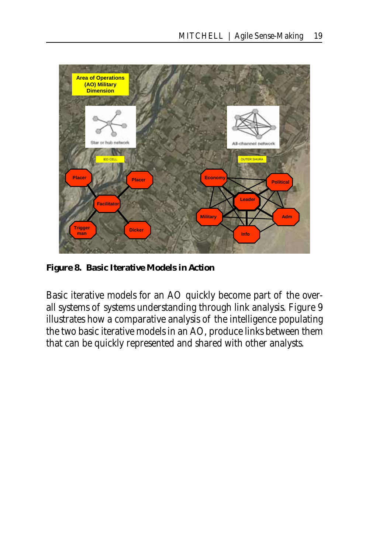

**Figure 8. Basic Iterative Models in Action**

Basic iterative models for an AO quickly become part of the overall systems of systems understanding through link analysis. Figure 9 illustrates how a comparative analysis of the intelligence populating the two basic iterative models in an AO, produce links between them that can be quickly represented and shared with other analysts.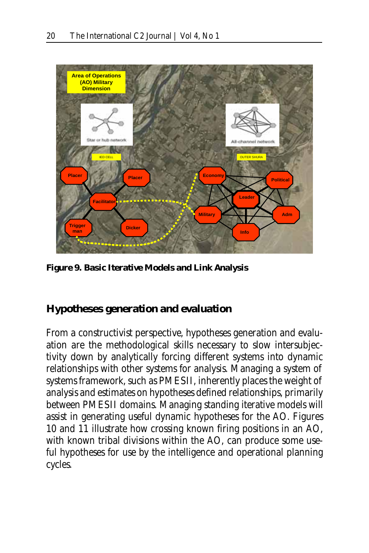

**Figure 9. Basic Iterative Models and Link Analysis**

#### **Hypotheses generation and evaluation**

From a constructivist perspective, hypotheses generation and evaluation are the methodological skills necessary to slow intersubjectivity down by analytically forcing different systems into dynamic relationships with other systems for analysis. Managing a system of systems framework, such as PMESII, inherently places the weight of analysis and estimates on hypotheses defined relationships, primarily between PMESII domains. Managing standing iterative models will assist in generating useful dynamic hypotheses for the AO. Figures 10 and 11 illustrate how crossing known firing positions in an AO, with known tribal divisions within the AO, can produce some useful hypotheses for use by the intelligence and operational planning cycles.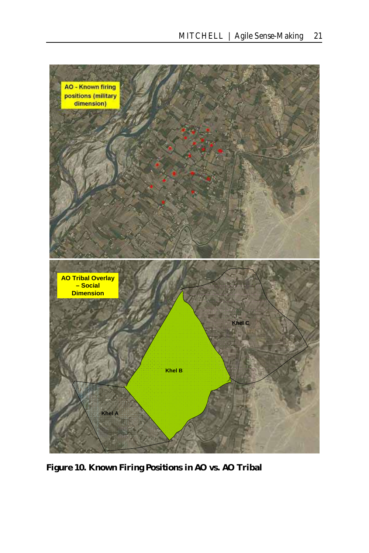

**Figure 10. Known Firing Positions in AO vs. AO Tribal**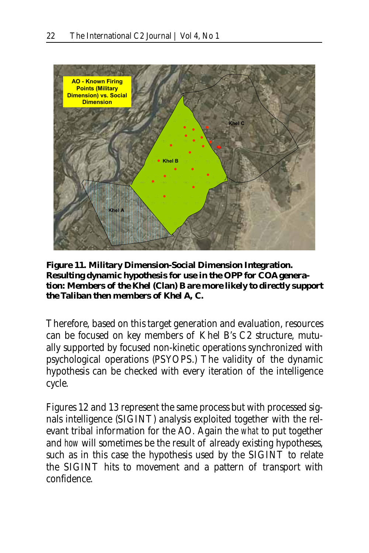

**Figure 11. Military Dimension-Social Dimension Integration. Resulting dynamic hypothesis for use in the OPP for COA generation:** *Members of the Khel (Clan) B are more likely to directly support the Taliban then members of Khel A, C.*

Therefore, based on this target generation and evaluation, resources can be focused on key members of Khel B's C2 structure, mutually supported by focused non-kinetic operations synchronized with psychological operations (PSYOPS.) The validity of the dynamic hypothesis can be checked with every iteration of the intelligence cycle.

Figures 12 and 13 represent the same process but with processed signals intelligence (SIGINT) analysis exploited together with the relevant tribal information for the AO. Again the *what* to put together and *how* will sometimes be the result of already existing hypotheses, such as in this case the hypothesis used by the SIGINT to relate the SIGINT hits to movement and a pattern of transport with confidence.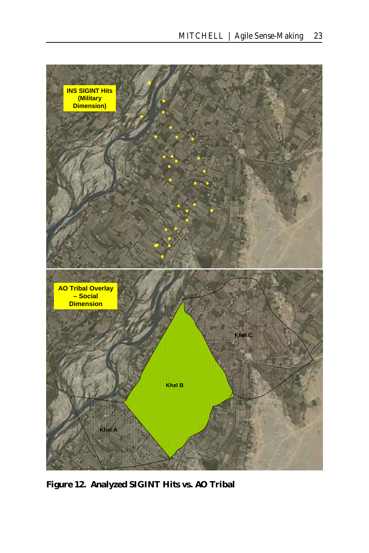

**Figure 12. Analyzed SIGINT Hits vs. AO Tribal**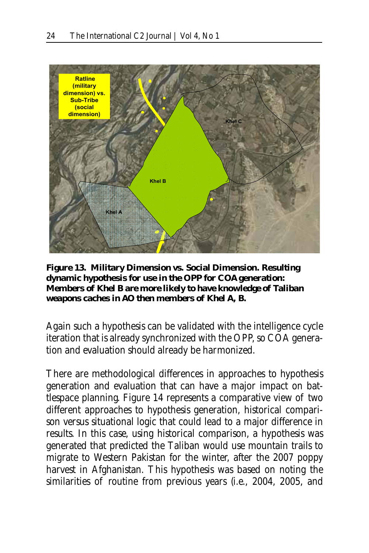

**Figure 13. Military Dimension vs. Social Dimension. Resulting dynamic hypothesis for use in the OPP for COA generation:** *Members of Khel B are more likely to have knowledge of Taliban weapons caches in AO then members of Khel A, B.*

Again such a hypothesis can be validated with the intelligence cycle iteration that is already synchronized with the OPP, so COA generation and evaluation should already be harmonized.

There are methodological differences in approaches to hypothesis generation and evaluation that can have a major impact on battlespace planning. Figure 14 represents a comparative view of two different approaches to hypothesis generation, historical comparison versus situational logic that could lead to a major difference in results. In this case, using historical comparison, a hypothesis was generated that predicted the Taliban would use mountain trails to migrate to Western Pakistan for the winter, after the 2007 poppy harvest in Afghanistan. This hypothesis was based on noting the similarities of routine from previous years (i.e., 2004, 2005, and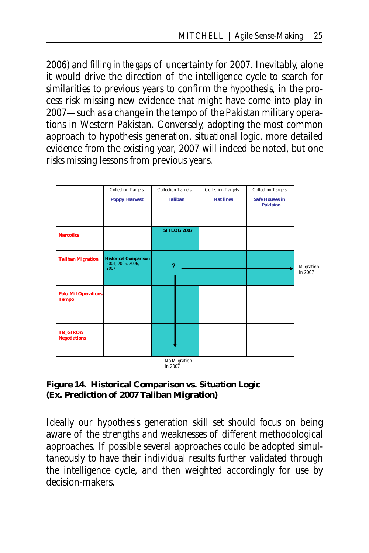2006) and *filling in the gaps* of uncertainty for 2007. Inevitably, alone it would drive the direction of the intelligence cycle to search for similarities to previous years to confirm the hypothesis, in the process risk missing new evidence that might have come into play in 2007—such as a change in the tempo of the Pakistan military operations in Western Pakistan. Conversely, adopting the most common approach to hypothesis generation, situational logic, more detailed evidence from the existing year, 2007 will indeed be noted, but one risks missing lessons from previous years.



#### **Figure 14. Historical Comparison vs. Situation Logic (Ex. Prediction of 2007 Taliban Migration)**

Ideally our hypothesis generation skill set should focus on being aware of the strengths and weaknesses of different methodological approaches. If possible several approaches could be adopted simultaneously to have their individual results further validated through the intelligence cycle, and then weighted accordingly for use by decision-makers.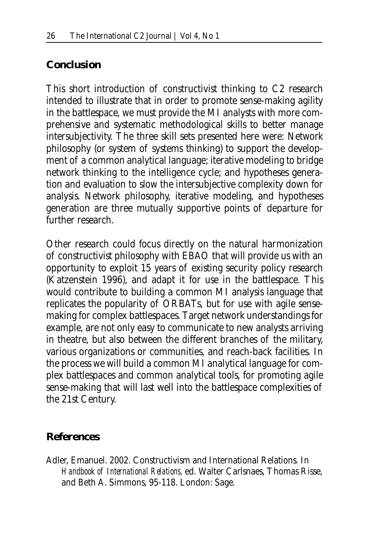#### **Conclusion**

This short introduction of constructivist thinking to C2 research intended to illustrate that in order to promote sense-making agility in the battlespace, we must provide the MI analysts with more comprehensive and systematic methodological skills to better manage intersubjectivity. The three skill sets presented here were: Network philosophy (or system of systems thinking) to support the development of a common analytical language; iterative modeling to bridge network thinking to the intelligence cycle; and hypotheses generation and evaluation to slow the intersubjective complexity down for analysis. Network philosophy, iterative modeling, and hypotheses generation are three mutually supportive points of departure for further research.

Other research could focus directly on the natural harmonization of constructivist philosophy with EBAO that will provide us with an opportunity to exploit 15 years of existing security policy research (Katzenstein 1996), and adapt it for use in the battlespace. This would contribute to building a common MI analysis language that replicates the popularity of ORBATs, but for use with agile sensemaking for complex battlespaces. Target network understandings for example, are not only easy to communicate to new analysts arriving in theatre, but also between the different branches of the military, various organizations or communities, and reach-back facilities. In the process we will build a common MI analytical language for complex battlespaces and common analytical tools, for promoting agile sense-making that will last well into the battlespace complexities of the 21st Century.

#### **References**

Adler, Emanuel. 2002. Constructivism and International Relations*.* In *Handbook of International Relations,* ed. Walter Carlsnaes, Thomas Risse, and Beth A. Simmons, 95-118. London: Sage.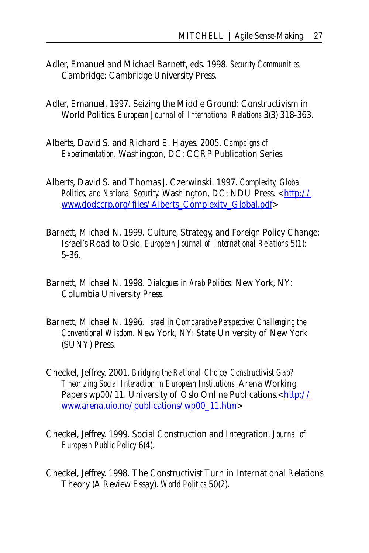- Adler, Emanuel and Michael Barnett, eds. 1998. *Security Communities.* Cambridge: Cambridge University Press.
- Adler, Emanuel. 1997. Seizing the Middle Ground: Constructivism in World Politics. *European Journal of International Relations* 3(3):318-363.
- Alberts, David S. and Richard E. Hayes. 2005. *Campaigns of Experimentation*. Washington, DC: CCRP Publication Series.
- Alberts, David S. and Thomas J. Czerwinski. 1997. *Complexity, Global Politics, and National Security.* Washington, DC: NDU Press. <http:// www.dodccrp.org/files/Alberts\_Complexity\_Global.pdf>
- Barnett, Michael N. 1999. Culture, Strategy, and Foreign Policy Change: Israel's Road to Oslo. *European Journal of International Relations* 5(1): 5-36.
- Barnett, Michael N. 1998. *Dialogues in Arab Politics*. New York, NY: Columbia University Press.
- Barnett, Michael N. 1996. *Israel in Comparative Perspective: Challenging the Conventional Wisdom*. New York, NY: State University of New York (SUNY) Press.
- Checkel, Jeffrey. 2001. *Bridging the Rational-Choice/Constructivist Gap? Theorizing Social Interaction in European Institutions.* Arena Working Papers wp00/11. University of Oslo Online Publications.<http:// www.arena.uio.no/publications/wp00\_11.htm>
- Checkel, Jeffrey. 1999. Social Construction and Integration. *Journal of European Public Policy* 6(4).
- Checkel, Jeffrey. 1998. The Constructivist Turn in International Relations Theory (A Review Essay). *World Politics* 50(2).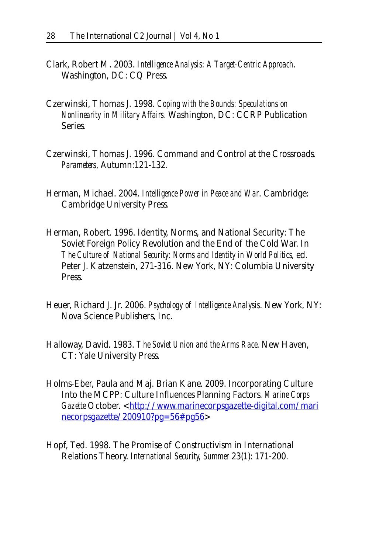- Clark, Robert M. 2003. *Intelligence Analysis: A Target-Centric Approach*. Washington, DC: CQ Press.
- Czerwinski, Thomas J. 1998. *Coping with the Bounds: Speculations on Nonlinearity in Military Affairs*. Washington, DC: CCRP Publication Series.
- Czerwinski, Thomas J. 1996. Command and Control at the Crossroads. *Parameters*, Autumn:121-132.
- Herman, Michael. 2004. *Intelligence Power in Peace and War*. Cambridge: Cambridge University Press.
- Herman, Robert. 1996. Identity, Norms, and National Security: The Soviet Foreign Policy Revolution and the End of the Cold War. In *The Culture of National Security: Norms and Identity in World Politics,* ed. Peter J. Katzenstein, 271-316. New York, NY: Columbia University Press.
- Heuer, Richard J. Jr. 2006. *Psychology of Intelligence Analysis*. New York, NY: Nova Science Publishers, Inc.
- Halloway, David. 1983. *The Soviet Union and the Arms Race*. New Haven, CT: Yale University Press.
- Holms-Eber, Paula and Maj. Brian Kane. 2009. Incorporating Culture Into the MCPP: Culture Influences Planning Factors. *Marine Corps*  Gazette October. <http://www.marinecorpsgazette-digital.com/mari necorpsgazette/200910?pg=56#pg56>
- Hopf, Ted. 1998. The Promise of Constructivism in International Relations Theory. *International Security, Summer* 23(1): 171-200.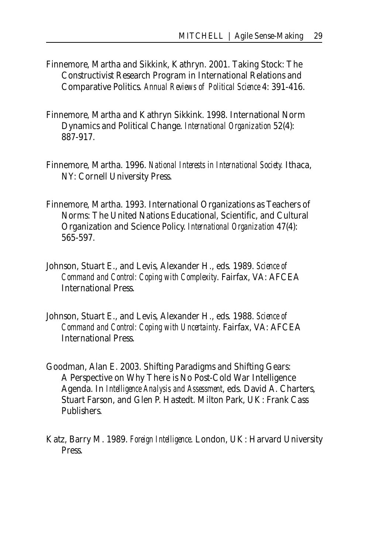- Finnemore, Martha and Sikkink, Kathryn. 2001. Taking Stock: The Constructivist Research Program in International Relations and Comparative Politics. *Annual Reviews of Political Science* 4: 391-416.
- Finnemore, Martha and Kathryn Sikkink. 1998. International Norm Dynamics and Political Change. *International Organization* 52(4): 887-917.
- Finnemore, Martha. 1996. *National Interests in International Society.* Ithaca, NY: Cornell University Press.
- Finnemore, Martha. 1993. International Organizations as Teachers of Norms: The United Nations Educational, Scientific, and Cultural Organization and Science Policy. *International Organization* 47(4): 565-597.
- Johnson, Stuart E., and Levis, Alexander H., eds. 1989. *Science of Command and Control: Coping with Complexity*. Fairfax, VA: AFCEA International Press.
- Johnson, Stuart E., and Levis, Alexander H., eds. 1988. *Science of Command and Control: Coping with Uncertainty*. Fairfax, VA: AFCEA International Press.
- Goodman, Alan E. 2003. Shifting Paradigms and Shifting Gears: A Perspective on Why There is No Post-Cold War Intelligence Agenda. In *Intelligence Analysis and Assessment*, eds. David A. Charters, Stuart Farson, and Glen P. Hastedt. Milton Park, UK: Frank Cass Publishers.
- Katz, Barry M. 1989. *Foreign Intelligence*. London, UK: Harvard University Press.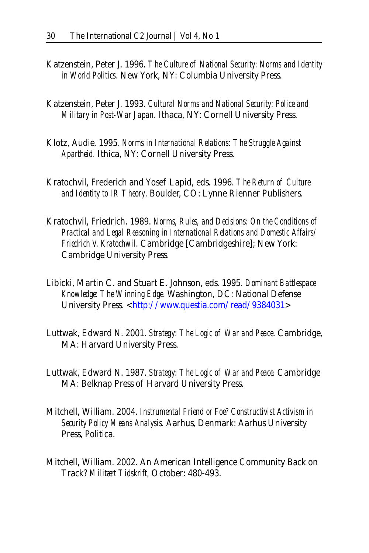- Katzenstein, Peter J. 1996. *The Culture of National Security: Norms and Identity in World Politics*. New York, NY: Columbia University Press.
- Katzenstein, Peter J. 1993. *Cultural Norms and National Security: Police and Military in Post-War Japan*. Ithaca, NY: Cornell University Press.
- Klotz, Audie. 1995. *Norms in International Relations: The Struggle Against Apartheid.* Ithica, NY: Cornell University Press.
- Kratochvil, Frederich and Yosef Lapid, eds. 1996. *The Return of Culture and Identity to IR Theory*. Boulder, CO: Lynne Rienner Publishers.
- Kratochvil, Friedrich. 1989. *Norms, Rules, and Decisions: On the Conditions of Practical and Legal Reasoning in International Relations and Domestic Affairs/ Friedrich V. Kratochwil*. Cambridge [Cambridgeshire]; New York: Cambridge University Press.
- Libicki, Martin C. and Stuart E. Johnson, eds. 1995. *Dominant Battlespace Knowledge: The Winning Edge*. Washington, DC: National Defense University Press. <http://www.questia.com/read/9384031>
- Luttwak, Edward N. 2001. *Strategy: The Logic of War and Peace*. Cambridge, MA: Harvard University Press.
- Luttwak, Edward N. 1987. *Strategy: The Logic of War and Peace.* Cambridge MA: Belknap Press of Harvard University Press.
- Mitchell, William. 2004. *Instrumental Friend or Foe? Constructivist Activism in Security Policy Means Analysis.* Aarhus, Denmark: Aarhus University Press, Politica.
- Mitchell, William. 2002. An American Intelligence Community Back on Track? *Militært Tidskrift,* October: 480-493.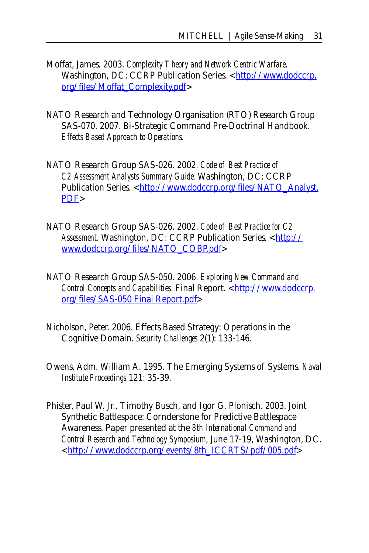- Moffat, James. 2003. *Complexity Theory and Network Centric Warfare*. Washington, DC: CCRP Publication Series. <http://www.dodccrp. org/files/Moffat\_Complexity.pdf>
- NATO Research and Technology Organisation (RTO) Research Group SAS-070. 2007. Bi-Strategic Command Pre-Doctrinal Handbook. *Effects Based Approach to Operations.*
- NATO Research Group SAS-026. 2002. *Code of Best Practice of C2 Assessment Analysts Summary Guide.* Washington, DC: CCRP Publication Series. <http://www.dodccrp.org/files/NATO\_Analyst. PDF>
- NATO Research Group SAS-026. 2002. *Code of Best Practice for C2 Assessment*. Washington, DC: CCRP Publication Series. <http:// www.dodccrp.org/files/NATO\_COBP.pdf>
- NATO Research Group SAS-050. 2006. *Exploring New Command and*  Control Concepts and Capabilities. Final Report. <http://www.dodccrp. org/files/SAS-050 Final Report.pdf>
- Nicholson, Peter. 2006. Effects Based Strategy: Operations in the Cognitive Domain. *Security Challenges* 2(1): 133-146.
- Owens, Adm. William A. 1995. The Emerging Systems of Systems. *Naval Institute Proceedings* 121: 35-39.
- Phister, Paul W. Jr., Timothy Busch, and Igor G. Plonisch. 2003. Joint Synthetic Battlespace: Cornderstone for Predictive Battlespace Awareness. Paper presented at the *8th International Command and Control Research and Technology Symposium*, June 17-19, Washington, DC. <http://www.dodccrp.org/events/8th\_ICCRTS/pdf/005.pdf>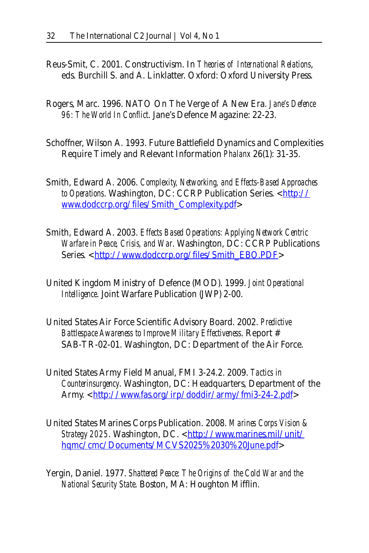- Reus-Smit, C. 2001. Constructivism. In *Theories of International Relations*, eds. Burchill S. and A. Linklatter. Oxford: Oxford University Press.
- Rogers, Marc. 1996. NATO On The Verge of A New Era. *Jane's Defence 96: The World In Conflict*. Jane's Defence Magazine: 22-23.
- Schoffner, Wilson A. 1993. Future Battlefield Dynamics and Complexities Require Timely and Relevant Information *Phalanx* 26(1): 31-35.
- Smith, Edward A. 2006. *Complexity, Networking, and Effects-Based Approaches to Operations*. Washington, DC: CCRP Publication Series. <http:// www.dodccrp.org/files/Smith\_Complexity.pdf>
- Smith, Edward A. 2003. *Effects Based Operations: Applying Network Centric Warfare in Peace, Crisis, and War*. Washington, DC: CCRP Publications Series. <http://www.dodccrp.org/files/Smith\_EBO.PDF>
- United Kingdom Ministry of Defence (MOD). 1999. *Joint Operational Intelligence*. Joint Warfare Publication (JWP) 2-00.
- United States Air Force Scientific Advisory Board. 2002. *Predictive Battlespace Awareness to Improve Military Effectiveness*. Report # SAB-TR-02-01. Washington, DC: Department of the Air Force.
- United States Army Field Manual, FMI 3-24.2. 2009. *Tactics in Counterinsurgency*. Washington, DC: Headquarters, Department of the Army. <http://www.fas.org/irp/doddir/army/fmi3-24-2.pdf>
- United States Marines Corps Publication. 2008. *Marines Corps Vision & Strategy 2025*. Washington, DC. <http://www.marines.mil/unit/ hqmc/cmc/Documents/MCVS2025%2030%20June.pdf>
- Yergin, Daniel. 1977. *Shattered Peace: The Origins of the Cold War and the National Security State*. Boston, MA: Houghton Mifflin.